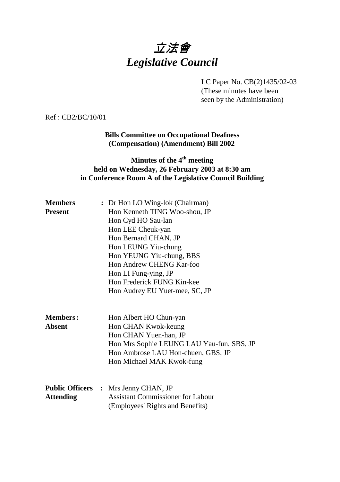# 立法會 *Legislative Council*

LC Paper No. CB(2)1435/02-03 (These minutes have been seen by the Administration)

Ref : CB2/BC/10/01

**Bills Committee on Occupational Deafness (Compensation) (Amendment) Bill 2002**

### **Minutes of the 4<sup>th</sup> meeting held on Wednesday, 26 February 2003 at 8:30 am in Conference Room A of the Legislative Council Building**

| <b>Members</b>   | : Dr Hon LO Wing-lok (Chairman)             |  |  |
|------------------|---------------------------------------------|--|--|
| <b>Present</b>   | Hon Kenneth TING Woo-shou, JP               |  |  |
|                  | Hon Cyd HO Sau-lan                          |  |  |
|                  | Hon LEE Cheuk-yan                           |  |  |
|                  | Hon Bernard CHAN, JP                        |  |  |
|                  | Hon LEUNG Yiu-chung                         |  |  |
|                  | Hon YEUNG Yiu-chung, BBS                    |  |  |
|                  | Hon Andrew CHENG Kar-foo                    |  |  |
|                  | Hon LI Fung-ying, JP                        |  |  |
|                  | Hon Frederick FUNG Kin-kee                  |  |  |
|                  | Hon Audrey EU Yuet-mee, SC, JP              |  |  |
|                  |                                             |  |  |
|                  |                                             |  |  |
| <b>Members:</b>  | Hon Albert HO Chun-yan                      |  |  |
| <b>Absent</b>    | Hon CHAN Kwok-keung                         |  |  |
|                  | Hon CHAN Yuen-han, JP                       |  |  |
|                  | Hon Mrs Sophie LEUNG LAU Yau-fun, SBS, JP   |  |  |
|                  | Hon Ambrose LAU Hon-chuen, GBS, JP          |  |  |
|                  | Hon Michael MAK Kwok-fung                   |  |  |
|                  |                                             |  |  |
|                  | <b>Public Officers :</b> Mrs Jenny CHAN, JP |  |  |
| <b>Attending</b> | <b>Assistant Commissioner for Labour</b>    |  |  |
|                  | (Employees' Rights and Benefits)            |  |  |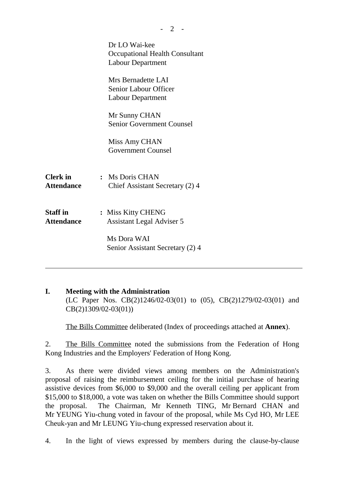|                                      | Dr LO Wai-kee<br>Occupational Health Consultant<br><b>Labour Department</b> |
|--------------------------------------|-----------------------------------------------------------------------------|
|                                      | Mrs Bernadette LAI<br>Senior Labour Officer<br><b>Labour Department</b>     |
|                                      | Mr Sunny CHAN<br><b>Senior Government Counsel</b>                           |
|                                      | Miss Amy CHAN<br><b>Government Counsel</b>                                  |
| <b>Clerk</b> in<br><b>Attendance</b> | : Ms Doris CHAN<br>Chief Assistant Secretary (2) 4                          |
| <b>Staff</b> in<br><b>Attendance</b> | : Miss Kitty CHENG<br><b>Assistant Legal Adviser 5</b>                      |
|                                      | Ms Dora WAI<br>Senior Assistant Secretary (2) 4                             |

 $- 2 -$ 

#### **I. Meeting with the Administration** (LC Paper Nos. CB(2)1246/02-03(01) to (05), CB(2)1279/02-03(01) and CB(2)1309/02-03(01))

The Bills Committee deliberated (Index of proceedings attached at **Annex**).

2. The Bills Committee noted the submissions from the Federation of Hong Kong Industries and the Employers' Federation of Hong Kong.

3. As there were divided views among members on the Administration's proposal of raising the reimbursement ceiling for the initial purchase of hearing assistive devices from \$6,000 to \$9,000 and the overall ceiling per applicant from \$15,000 to \$18,000, a vote was taken on whether the Bills Committee should support the proposal. The Chairman, Mr Kenneth TING, Mr Bernard CHAN and Mr YEUNG Yiu-chung voted in favour of the proposal, while Ms Cyd HO, Mr LEE Cheuk-yan and Mr LEUNG Yiu-chung expressed reservation about it.

4. In the light of views expressed by members during the clause-by-clause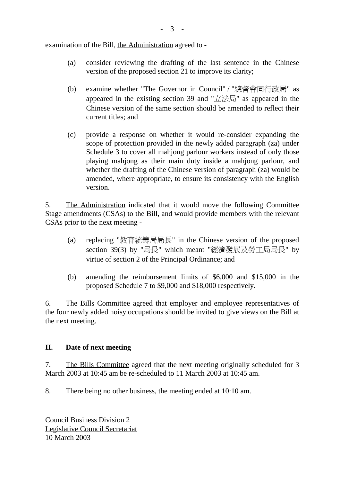examination of the Bill, the Administration agreed to -

- (a) consider reviewing the drafting of the last sentence in the Chinese version of the proposed section 21 to improve its clarity;
- (b) examine whether "The Governor in Council" / "總督會同行政局" as appeared in the existing section 39 and "立法局" as appeared in the Chinese version of the same section should be amended to reflect their current titles; and
- (c) provide a response on whether it would re-consider expanding the scope of protection provided in the newly added paragraph (za) under Schedule 3 to cover all mahjong parlour workers instead of only those playing mahjong as their main duty inside a mahjong parlour, and whether the drafting of the Chinese version of paragraph (za) would be amended, where appropriate, to ensure its consistency with the English version.

5. The Administration indicated that it would move the following Committee Stage amendments (CSAs) to the Bill, and would provide members with the relevant CSAs prior to the next meeting -

- (a) replacing "教育統籌局局長" in the Chinese version of the proposed section 39(3) by "局長" which meant "經濟發展及勞工局局長" by virtue of section 2 of the Principal Ordinance; and
- (b) amending the reimbursement limits of \$6,000 and \$15,000 in the proposed Schedule 7 to \$9,000 and \$18,000 respectively.

6. The Bills Committee agreed that employer and employee representatives of the four newly added noisy occupations should be invited to give views on the Bill at the next meeting.

#### **II. Date of next meeting**

7. The Bills Committee agreed that the next meeting originally scheduled for 3 March 2003 at 10:45 am be re-scheduled to 11 March 2003 at 10:45 am.

8. There being no other business, the meeting ended at 10:10 am.

Council Business Division 2 Legislative Council Secretariat 10 March 2003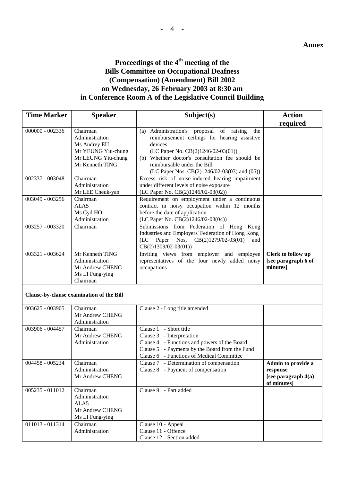## Proceedings of the 4<sup>th</sup> meeting of the **Bills Committee on Occupational Deafness (Compensation) (Amendment) Bill 2002 on Wednesday, 26 February 2003 at 8:30 am in Conference Room A of the Legislative Council Building**

| <b>Time Marker</b>                       | <b>Speaker</b>                                                                                            | Subject(s)                                                                                                                                                                                                                            | <b>Action</b>                                                          |
|------------------------------------------|-----------------------------------------------------------------------------------------------------------|---------------------------------------------------------------------------------------------------------------------------------------------------------------------------------------------------------------------------------------|------------------------------------------------------------------------|
|                                          |                                                                                                           |                                                                                                                                                                                                                                       | required                                                               |
| 000000 - 002336                          | Chairman<br>Administration<br>Ms Audrey EU<br>Mr YEUNG Yiu-chung<br>Mr LEUNG Yiu-chung<br>Mr Kenneth TING | (a) Administration's proposal<br>of raising<br>the<br>reimbursement ceilings for hearing assistive<br>devices<br>(LC Paper No. CB(2)1246/02-03(01))<br>(b) Whether doctor's consultation fee should be<br>reimbursable under the Bill |                                                                        |
| 002337 - 003048                          | Chairman<br>Administration<br>Mr LEE Cheuk-yan                                                            | (LC Paper Nos. CB(2)1246/02-03(03) and (05))<br>Excess risk of noise-induced hearing impairment<br>under different levels of noise exposure<br>(LC Paper No. CB(2)1246/02-03(02))                                                     |                                                                        |
| 003049 - 003256                          | Chairman<br>ALA5<br>Ms Cyd HO<br>Administration                                                           | Requirement on employment under a continuous<br>contract in noisy occupation within 12 months<br>before the date of application<br>(LC Paper No. CB(2)1246/02-03(04))                                                                 |                                                                        |
| 003257 - 003320                          | Chairman                                                                                                  | Submissions from Federation of Hong Kong<br>Industries and Employers' Federation of Hong Kong<br>Paper<br>Nos. $CB(2)1279/02-03(01)$<br>(LC)<br>and<br>$CB(2)1309/02-03(01))$                                                         |                                                                        |
| 003321 - 003624                          | Mr Kenneth TING<br>Administration<br>Mr Andrew CHENG<br>Ms LI Fung-ying<br>Chairman                       | Inviting views from employer and employee<br>representatives of the four newly added noisy<br>occupations                                                                                                                             | Clerk to follow up<br>[see paragraph 6 of<br>minutes]                  |
| Clause-by-clause examination of the Bill |                                                                                                           |                                                                                                                                                                                                                                       |                                                                        |
| 003625 - 003905                          | Chairman<br>Mr Andrew CHENG<br>Administration                                                             | Clause 2 - Long title amended                                                                                                                                                                                                         |                                                                        |
| 003906 - 004457                          | Chairman<br>Mr Andrew CHENG<br>Administration                                                             | Clause 1 - Short title<br>Clause 3 - Interpretation<br>Clause 4 - Functions and powers of the Board<br>Clause 5 - Payments by the Board from the Fund<br>Clause 6 - Functions of Medical Committee                                    |                                                                        |
| 004458 - 005234                          | Chairman<br>Administration<br>Mr Andrew CHENG                                                             | Clause 7 - Determination of compensation<br>Clause 8 - Payment of compensation                                                                                                                                                        | Admin to provide a<br>response<br>[see paragraph $4(a)$<br>of minutes] |
| 005235 - 011012                          | Chairman<br>Administration<br>ALA5<br>Mr Andrew CHENG<br>Ms LI Fung-ying                                  | Clause 9 - Part added                                                                                                                                                                                                                 |                                                                        |
| 011013 - 011314                          | Chairman<br>Administration                                                                                | Clause 10 - Appeal<br>Clause 11 - Offence<br>Clause 12 - Section added                                                                                                                                                                |                                                                        |